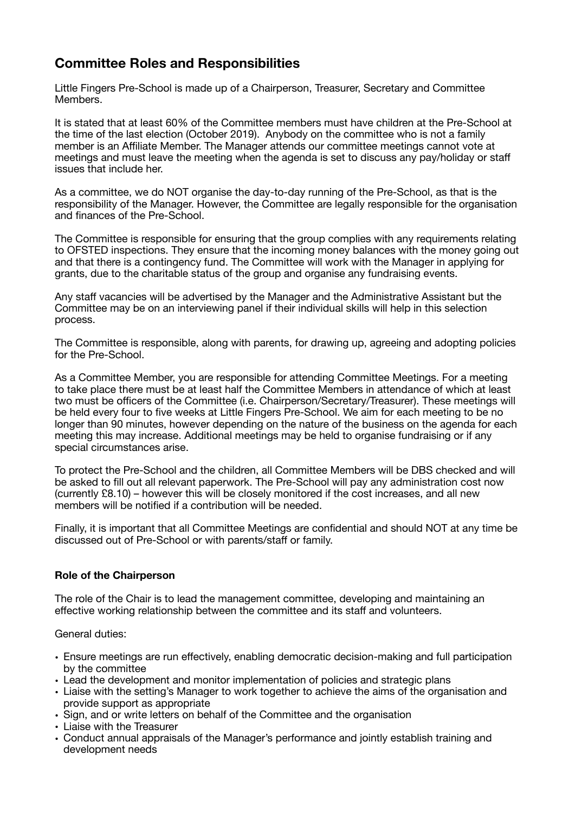# **Committee Roles and Responsibilities**

Little Fingers Pre-School is made up of a Chairperson, Treasurer, Secretary and Committee Members.

It is stated that at least 60% of the Committee members must have children at the Pre-School at the time of the last election (October 2019). Anybody on the committee who is not a family member is an Affiliate Member. The Manager attends our committee meetings cannot vote at meetings and must leave the meeting when the agenda is set to discuss any pay/holiday or staff issues that include her.

As a committee, we do NOT organise the day-to-day running of the Pre-School, as that is the responsibility of the Manager. However, the Committee are legally responsible for the organisation and finances of the Pre-School.

The Committee is responsible for ensuring that the group complies with any requirements relating to OFSTED inspections. They ensure that the incoming money balances with the money going out and that there is a contingency fund. The Committee will work with the Manager in applying for grants, due to the charitable status of the group and organise any fundraising events.

Any staff vacancies will be advertised by the Manager and the Administrative Assistant but the Committee may be on an interviewing panel if their individual skills will help in this selection process.

The Committee is responsible, along with parents, for drawing up, agreeing and adopting policies for the Pre-School.

As a Committee Member, you are responsible for attending Committee Meetings. For a meeting to take place there must be at least half the Committee Members in attendance of which at least two must be officers of the Committee (i.e. Chairperson/Secretary/Treasurer). These meetings will be held every four to five weeks at Little Fingers Pre-School. We aim for each meeting to be no longer than 90 minutes, however depending on the nature of the business on the agenda for each meeting this may increase. Additional meetings may be held to organise fundraising or if any special circumstances arise.

To protect the Pre-School and the children, all Committee Members will be DBS checked and will be asked to fill out all relevant paperwork. The Pre-School will pay any administration cost now (currently £8.10) – however this will be closely monitored if the cost increases, and all new members will be notified if a contribution will be needed.

Finally, it is important that all Committee Meetings are confidential and should NOT at any time be discussed out of Pre-School or with parents/staff or family.

## **Role of the Chairperson**

The role of the Chair is to lead the management committee, developing and maintaining an effective working relationship between the committee and its staff and volunteers.

General duties:

- Ensure meetings are run effectively, enabling democratic decision-making and full participation by the committee
- Lead the development and monitor implementation of policies and strategic plans
- Liaise with the setting's Manager to work together to achieve the aims of the organisation and provide support as appropriate
- Sign, and or write letters on behalf of the Committee and the organisation
- Liaise with the Treasurer
- Conduct annual appraisals of the Manager's performance and jointly establish training and development needs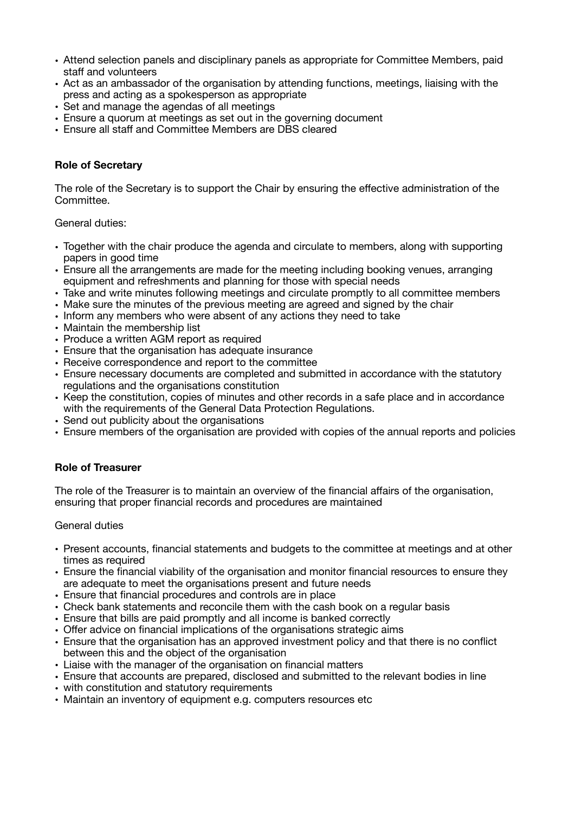- Attend selection panels and disciplinary panels as appropriate for Committee Members, paid staff and volunteers
- Act as an ambassador of the organisation by attending functions, meetings, liaising with the press and acting as a spokesperson as appropriate
- Set and manage the agendas of all meetings
- Ensure a quorum at meetings as set out in the governing document
- Ensure all staff and Committee Members are DBS cleared

### **Role of Secretary**

The role of the Secretary is to support the Chair by ensuring the effective administration of the Committee.

General duties:

- Together with the chair produce the agenda and circulate to members, along with supporting papers in good time
- Ensure all the arrangements are made for the meeting including booking venues, arranging equipment and refreshments and planning for those with special needs
- Take and write minutes following meetings and circulate promptly to all committee members
- Make sure the minutes of the previous meeting are agreed and signed by the chair
- Inform any members who were absent of any actions they need to take
- Maintain the membership list
- Produce a written AGM report as required
- Ensure that the organisation has adequate insurance
- Receive correspondence and report to the committee
- Ensure necessary documents are completed and submitted in accordance with the statutory regulations and the organisations constitution
- Keep the constitution, copies of minutes and other records in a safe place and in accordance with the requirements of the General Data Protection Regulations.
- Send out publicity about the organisations
- Ensure members of the organisation are provided with copies of the annual reports and policies

#### **Role of Treasurer**

The role of the Treasurer is to maintain an overview of the financial affairs of the organisation, ensuring that proper financial records and procedures are maintained

General duties

- Present accounts, financial statements and budgets to the committee at meetings and at other times as required
- Ensure the financial viability of the organisation and monitor financial resources to ensure they are adequate to meet the organisations present and future needs
- Ensure that financial procedures and controls are in place
- Check bank statements and reconcile them with the cash book on a regular basis
- Ensure that bills are paid promptly and all income is banked correctly
- Offer advice on financial implications of the organisations strategic aims
- Ensure that the organisation has an approved investment policy and that there is no conflict between this and the object of the organisation
- Liaise with the manager of the organisation on financial matters
- Ensure that accounts are prepared, disclosed and submitted to the relevant bodies in line
- with constitution and statutory requirements
- Maintain an inventory of equipment e.g. computers resources etc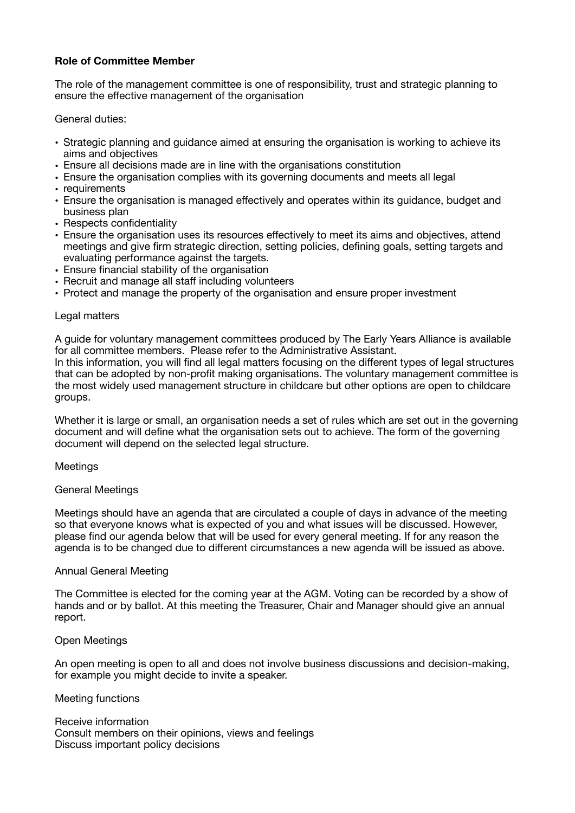# **Role of Committee Member**

The role of the management committee is one of responsibility, trust and strategic planning to ensure the effective management of the organisation

General duties:

- Strategic planning and guidance aimed at ensuring the organisation is working to achieve its aims and objectives
- Ensure all decisions made are in line with the organisations constitution
- Ensure the organisation complies with its governing documents and meets all legal
- requirements
- Ensure the organisation is managed effectively and operates within its guidance, budget and business plan
- Respects confidentiality
- Ensure the organisation uses its resources effectively to meet its aims and objectives, attend meetings and give firm strategic direction, setting policies, defining goals, setting targets and evaluating performance against the targets.
- Ensure financial stability of the organisation
- Recruit and manage all staff including volunteers
- Protect and manage the property of the organisation and ensure proper investment

#### Legal matters

A guide for voluntary management committees produced by The Early Years Alliance is available for all committee members. Please refer to the Administrative Assistant. In this information, you will find all legal matters focusing on the different types of legal structures that can be adopted by non-profit making organisations. The voluntary management committee is the most widely used management structure in childcare but other options are open to childcare groups.

Whether it is large or small, an organisation needs a set of rules which are set out in the governing document and will define what the organisation sets out to achieve. The form of the governing document will depend on the selected legal structure.

#### Meetings

#### General Meetings

Meetings should have an agenda that are circulated a couple of days in advance of the meeting so that everyone knows what is expected of you and what issues will be discussed. However, please find our agenda below that will be used for every general meeting. If for any reason the agenda is to be changed due to different circumstances a new agenda will be issued as above.

#### Annual General Meeting

The Committee is elected for the coming year at the AGM. Voting can be recorded by a show of hands and or by ballot. At this meeting the Treasurer, Chair and Manager should give an annual report.

#### Open Meetings

An open meeting is open to all and does not involve business discussions and decision-making, for example you might decide to invite a speaker.

#### Meeting functions

Receive information Consult members on their opinions, views and feelings Discuss important policy decisions